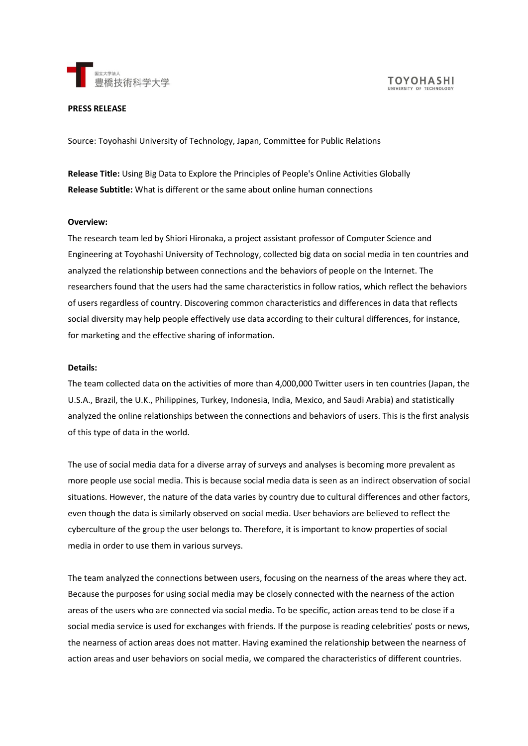

**TOYOHASHI** 

#### **PRESS RELEASE**

Source: Toyohashi University of Technology, Japan, Committee for Public Relations

**Release Title:** Using Big Data to Explore the Principles of People's Online Activities Globally **Release Subtitle:** What is different or the same about online human connections

### **Overview:**

The research team led by Shiori Hironaka, a project assistant professor of Computer Science and Engineering at Toyohashi University of Technology, collected big data on social media in ten countries and analyzed the relationship between connections and the behaviors of people on the Internet. The researchers found that the users had the same characteristics in follow ratios, which reflect the behaviors of users regardless of country. Discovering common characteristics and differences in data that reflects social diversity may help people effectively use data according to their cultural differences, for instance, for marketing and the effective sharing of information.

### **Details:**

The team collected data on the activities of more than 4,000,000 Twitter users in ten countries (Japan, the U.S.A., Brazil, the U.K., Philippines, Turkey, Indonesia, India, Mexico, and Saudi Arabia) and statistically analyzed the online relationships between the connections and behaviors of users. This is the first analysis of this type of data in the world.

The use of social media data for a diverse array of surveys and analyses is becoming more prevalent as more people use social media. This is because social media data is seen as an indirect observation of social situations. However, the nature of the data varies by country due to cultural differences and other factors, even though the data is similarly observed on social media. User behaviors are believed to reflect the cyberculture of the group the user belongs to. Therefore, it is important to know properties of social media in order to use them in various surveys.

The team analyzed the connections between users, focusing on the nearness of the areas where they act. Because the purposes for using social media may be closely connected with the nearness of the action areas of the users who are connected via social media. To be specific, action areas tend to be close if a social media service is used for exchanges with friends. If the purpose is reading celebrities' posts or news, the nearness of action areas does not matter. Having examined the relationship between the nearness of action areas and user behaviors on social media, we compared the characteristics of different countries.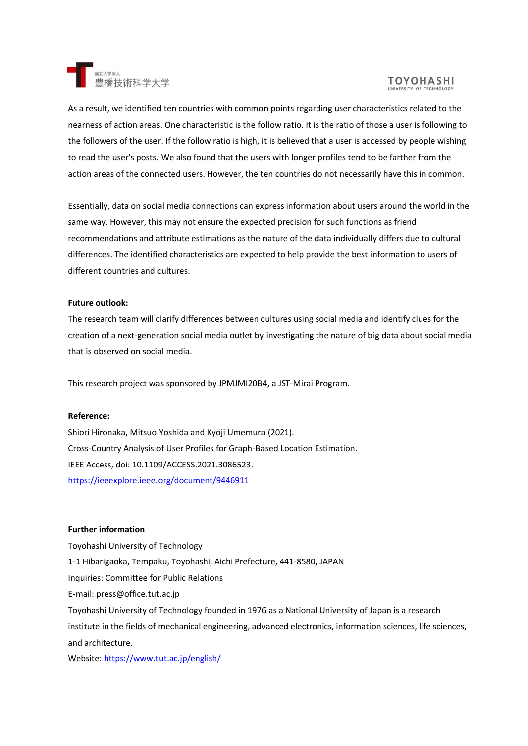

# **TOYOHASHI**

As a result, we identified ten countries with common points regarding user characteristics related to the nearness of action areas. One characteristic is the follow ratio. It is the ratio of those a user is following to the followers of the user. If the follow ratio is high, it is believed that a user is accessed by people wishing to read the user's posts. We also found that the users with longer profiles tend to be farther from the action areas of the connected users. However, the ten countries do not necessarily have this in common.

Essentially, data on social media connections can express information about users around the world in the same way. However, this may not ensure the expected precision for such functions as friend recommendations and attribute estimations as the nature of the data individually differs due to cultural differences. The identified characteristics are expected to help provide the best information to users of different countries and cultures.

## **Future outlook:**

The research team will clarify differences between cultures using social media and identify clues for the creation of a next-generation social media outlet by investigating the nature of big data about social media that is observed on social media.

This research project was sponsored by JPMJMI20B4, a JST-Mirai Program.

### **Reference:**

Shiori Hironaka, Mitsuo Yoshida and Kyoji Umemura (2021). Cross-Country Analysis of User Profiles for Graph-Based Location Estimation. IEEE Access, doi: 10.1109/ACCESS.2021.3086523. <https://ieeexplore.ieee.org/document/9446911>

### **Further information**

Toyohashi University of Technology 1-1 Hibarigaoka, Tempaku, Toyohashi, Aichi Prefecture, 441-8580, JAPAN Inquiries: Committee for Public Relations E-mail: press@office.tut.ac.jp Toyohashi University of Technology founded in 1976 as a National University of Japan is a research institute in the fields of mechanical engineering, advanced electronics, information sciences, life sciences, and architecture.

Website:<https://www.tut.ac.jp/english/>